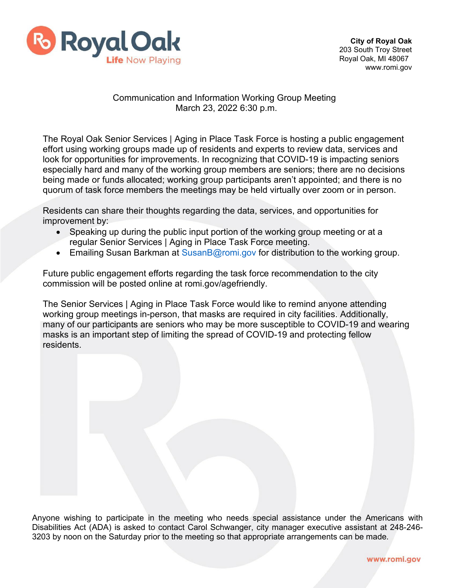

## Communication and Information Working Group Meeting March 23, 2022 6:30 p.m.

The Royal Oak Senior Services | Aging in Place Task Force is hosting a public engagement effort using working groups made up of residents and experts to review data, services and look for opportunities for improvements. In recognizing that COVID-19 is impacting seniors especially hard and many of the working group members are seniors; there are no decisions being made or funds allocated; working group participants aren't appointed; and there is no quorum of task force members the meetings may be held virtually over zoom or in person.

Residents can share their thoughts regarding the data, services, and opportunities for improvement by:

- Speaking up during the public input portion of the working group meeting or at a regular Senior Services | Aging in Place Task Force meeting.
- Emailing Susan Barkman at [SusanB@romi.gov f](mailto:SusanB@romi.gov)or distribution to the working group.

Future public engagement efforts regarding the task force recommendation to the city commission will be posted online at romi.gov/agefriendly.

The Senior Services | Aging in Place Task Force would like to remind anyone attending working group meetings in-person, that masks are required in city facilities. Additionally, many of our participants are seniors who may be more susceptible to COVID-19 and wearing masks is an important step of limiting the spread of COVID-19 and protecting fellow residents.

Anyone wishing to participate in the meeting who needs special assistance under the Americans with Disabilities Act (ADA) is asked to contact Carol Schwanger, city manager executive assistant at 248-246- 3203 by noon on the Saturday prior to the meeting so that appropriate arrangements can be made.